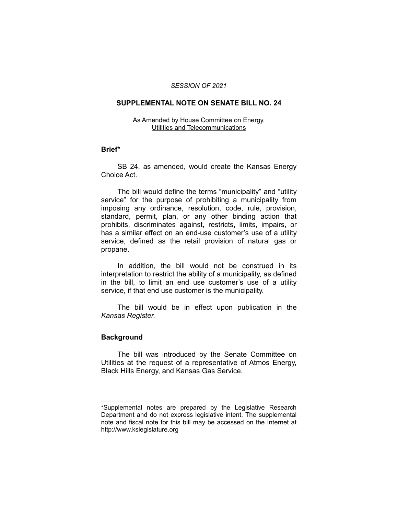#### *SESSION OF 2021*

### **SUPPLEMENTAL NOTE ON SENATE BILL NO. 24**

#### As Amended by House Committee on Energy, Utilities and Telecommunications

#### **Brief\***

SB 24, as amended, would create the Kansas Energy Choice Act.

The bill would define the terms "municipality" and "utility service" for the purpose of prohibiting a municipality from imposing any ordinance, resolution, code, rule, provision, standard, permit, plan, or any other binding action that prohibits, discriminates against, restricts, limits, impairs, or has a similar effect on an end-use customer's use of a utility service, defined as the retail provision of natural gas or propane.

In addition, the bill would not be construed in its interpretation to restrict the ability of a municipality, as defined in the bill, to limit an end use customer's use of a utility service, if that end use customer is the municipality.

The bill would be in effect upon publication in the *Kansas Register.*

## **Background**

 $\_$ 

The bill was introduced by the Senate Committee on Utilities at the request of a representative of Atmos Energy, Black Hills Energy, and Kansas Gas Service.

<sup>\*</sup>Supplemental notes are prepared by the Legislative Research Department and do not express legislative intent. The supplemental note and fiscal note for this bill may be accessed on the Internet at http://www.kslegislature.org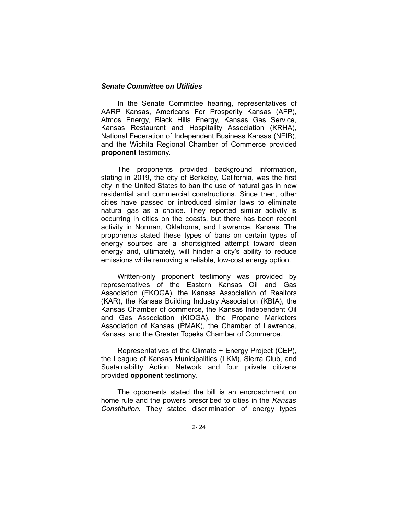### *Senate Committee on Utilities*

In the Senate Committee hearing, representatives of AARP Kansas, Americans For Prosperity Kansas (AFP), Atmos Energy, Black Hills Energy, Kansas Gas Service, Kansas Restaurant and Hospitality Association (KRHA), National Federation of Independent Business Kansas (NFIB), and the Wichita Regional Chamber of Commerce provided **proponent** testimony.

The proponents provided background information, stating in 2019, the city of Berkeley, California, was the first city in the United States to ban the use of natural gas in new residential and commercial constructions. Since then, other cities have passed or introduced similar laws to eliminate natural gas as a choice. They reported similar activity is occurring in cities on the coasts, but there has been recent activity in Norman, Oklahoma, and Lawrence, Kansas. The proponents stated these types of bans on certain types of energy sources are a shortsighted attempt toward clean energy and, ultimately, will hinder a city's ability to reduce emissions while removing a reliable, low-cost energy option.

Written-only proponent testimony was provided by representatives of the Eastern Kansas Oil and Gas Association (EKOGA), the Kansas Association of Realtors (KAR), the Kansas Building Industry Association (KBIA), the Kansas Chamber of commerce, the Kansas Independent Oil and Gas Association (KIOGA), the Propane Marketers Association of Kansas (PMAK), the Chamber of Lawrence, Kansas, and the Greater Topeka Chamber of Commerce.

Representatives of the Climate + Energy Project (CEP), the League of Kansas Municipalities (LKM), Sierra Club, and Sustainability Action Network and four private citizens provided **opponent** testimony.

The opponents stated the bill is an encroachment on home rule and the powers prescribed to cities in the *Kansas Constitution.* They stated discrimination of energy types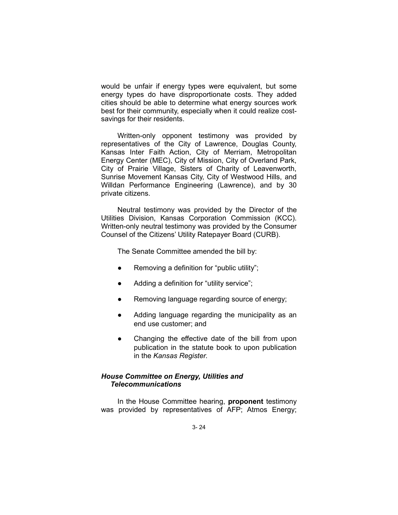would be unfair if energy types were equivalent, but some energy types do have disproportionate costs. They added cities should be able to determine what energy sources work best for their community, especially when it could realize costsavings for their residents.

Written-only opponent testimony was provided by representatives of the City of Lawrence, Douglas County, Kansas Inter Faith Action, City of Merriam, Metropolitan Energy Center (MEC), City of Mission, City of Overland Park, City of Prairie Village, Sisters of Charity of Leavenworth, Sunrise Movement Kansas City, City of Westwood Hills, and Willdan Performance Engineering (Lawrence), and by 30 private citizens.

Neutral testimony was provided by the Director of the Utilities Division, Kansas Corporation Commission (KCC). Written-only neutral testimony was provided by the Consumer Counsel of the Citizens' Utility Ratepayer Board (CURB).

The Senate Committee amended the bill by:

- Removing a definition for "public utility";
- Adding a definition for "utility service":
- Removing language regarding source of energy;
- Adding language regarding the municipality as an end use customer; and
- Changing the effective date of the bill from upon publication in the statute book to upon publication in the *Kansas Register*.

## *House Committee on Energy, Utilities and Telecommunications*

In the House Committee hearing, **proponent** testimony was provided by representatives of AFP; Atmos Energy;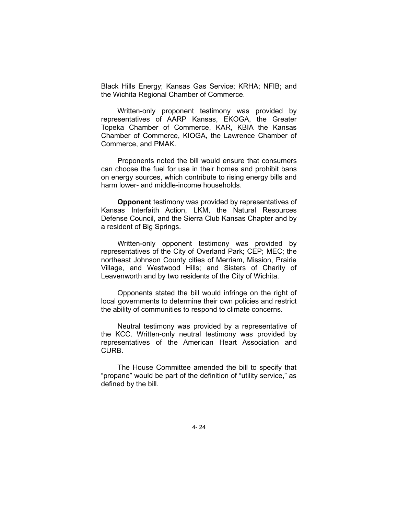Black Hills Energy; Kansas Gas Service; KRHA; NFIB; and the Wichita Regional Chamber of Commerce.

Written-only proponent testimony was provided by representatives of AARP Kansas, EKOGA, the Greater Topeka Chamber of Commerce, KAR, KBIA the Kansas Chamber of Commerce, KIOGA, the Lawrence Chamber of Commerce, and PMAK.

Proponents noted the bill would ensure that consumers can choose the fuel for use in their homes and prohibit bans on energy sources, which contribute to rising energy bills and harm lower- and middle-income households.

**Opponent** testimony was provided by representatives of Kansas Interfaith Action, LKM, the Natural Resources Defense Council, and the Sierra Club Kansas Chapter and by a resident of Big Springs.

Written-only opponent testimony was provided by representatives of the City of Overland Park; CEP; MEC; the northeast Johnson County cities of Merriam, Mission, Prairie Village, and Westwood Hills; and Sisters of Charity of Leavenworth and by two residents of the City of Wichita.

Opponents stated the bill would infringe on the right of local governments to determine their own policies and restrict the ability of communities to respond to climate concerns.

Neutral testimony was provided by a representative of the KCC. Written-only neutral testimony was provided by representatives of the American Heart Association and **CURB** 

The House Committee amended the bill to specify that "propane" would be part of the definition of "utility service," as defined by the bill.